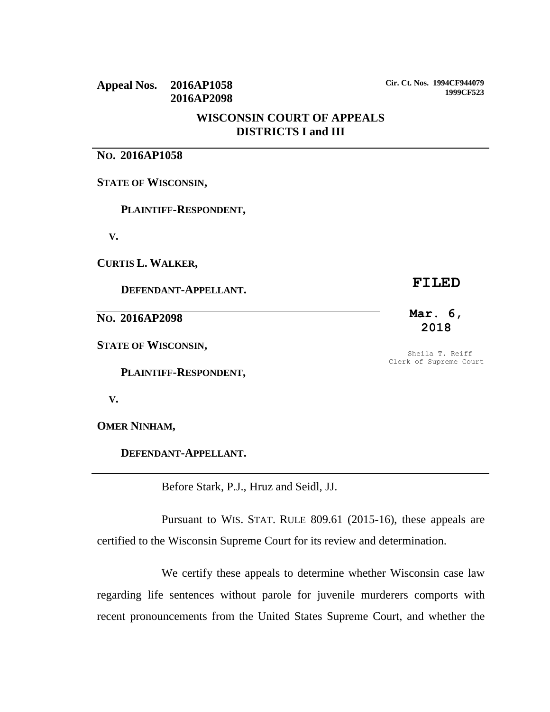# **Appeal Nos. 2016AP1058 2016AP2098**

**Cir. Ct. Nos. 1994CF944079 1999CF523**

## **WISCONSIN COURT OF APPEALS DISTRICTS I and III**

# **NO. 2016AP1058**

**STATE OF WISCONSIN,**

 **PLAINTIFF-RESPONDENT,**

 **V.**

**CURTIS L. WALKER,**

 **DEFENDANT-APPELLANT.**

**NO. 2016AP2098**

**STATE OF WISCONSIN,**

 **PLAINTIFF-RESPONDENT,**

 **V.**

**OMER NINHAM,**

 **DEFENDANT-APPELLANT.**

Before Stark, P.J., Hruz and Seidl, JJ.

Pursuant to WIS. STAT. RULE 809.61 (2015-16), these appeals are certified to the Wisconsin Supreme Court for its review and determination.

We certify these appeals to determine whether Wisconsin case law regarding life sentences without parole for juvenile murderers comports with recent pronouncements from the United States Supreme Court, and whether the

### **FILED**

### **Mar. 6, 2018**

Sheila T. Reiff Clerk of Supreme Court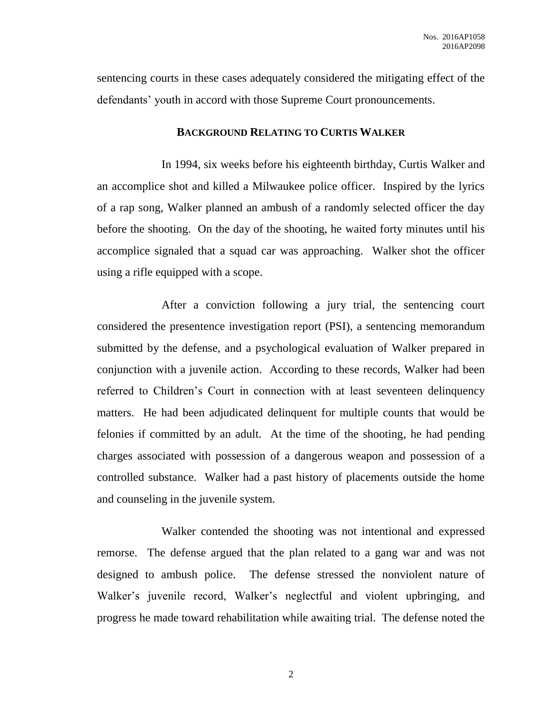sentencing courts in these cases adequately considered the mitigating effect of the defendants' youth in accord with those Supreme Court pronouncements.

### **BACKGROUND RELATING TO CURTIS WALKER**

In 1994, six weeks before his eighteenth birthday, Curtis Walker and an accomplice shot and killed a Milwaukee police officer. Inspired by the lyrics of a rap song, Walker planned an ambush of a randomly selected officer the day before the shooting. On the day of the shooting, he waited forty minutes until his accomplice signaled that a squad car was approaching. Walker shot the officer using a rifle equipped with a scope.

After a conviction following a jury trial, the sentencing court considered the presentence investigation report (PSI), a sentencing memorandum submitted by the defense, and a psychological evaluation of Walker prepared in conjunction with a juvenile action. According to these records, Walker had been referred to Children's Court in connection with at least seventeen delinquency matters. He had been adjudicated delinquent for multiple counts that would be felonies if committed by an adult. At the time of the shooting, he had pending charges associated with possession of a dangerous weapon and possession of a controlled substance. Walker had a past history of placements outside the home and counseling in the juvenile system.

Walker contended the shooting was not intentional and expressed remorse. The defense argued that the plan related to a gang war and was not designed to ambush police. The defense stressed the nonviolent nature of Walker's juvenile record, Walker's neglectful and violent upbringing, and progress he made toward rehabilitation while awaiting trial. The defense noted the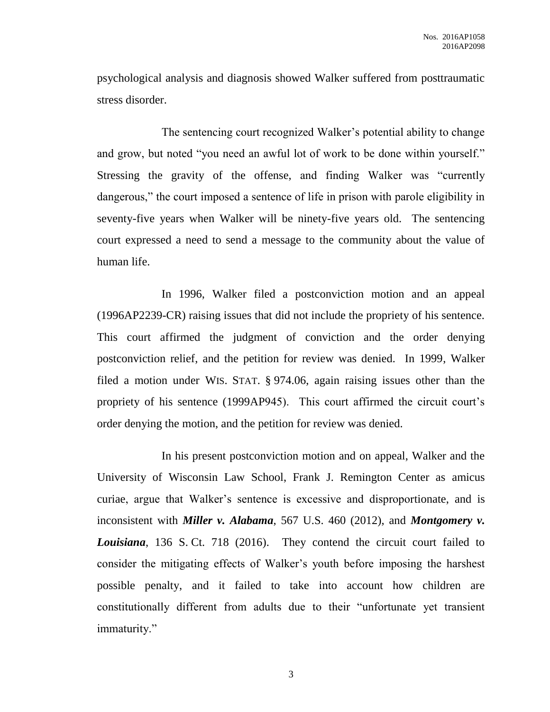psychological analysis and diagnosis showed Walker suffered from posttraumatic stress disorder.

The sentencing court recognized Walker's potential ability to change and grow, but noted "you need an awful lot of work to be done within yourself." Stressing the gravity of the offense, and finding Walker was "currently dangerous," the court imposed a sentence of life in prison with parole eligibility in seventy-five years when Walker will be ninety-five years old. The sentencing court expressed a need to send a message to the community about the value of human life.

In 1996, Walker filed a postconviction motion and an appeal (1996AP2239-CR) raising issues that did not include the propriety of his sentence. This court affirmed the judgment of conviction and the order denying postconviction relief, and the petition for review was denied. In 1999, Walker filed a motion under WIS. STAT. § 974.06, again raising issues other than the propriety of his sentence (1999AP945). This court affirmed the circuit court's order denying the motion, and the petition for review was denied.

In his present postconviction motion and on appeal, Walker and the University of Wisconsin Law School, Frank J. Remington Center as amicus curiae, argue that Walker's sentence is excessive and disproportionate, and is inconsistent with *Miller v. Alabama*, 567 U.S. 460 (2012), and *Montgomery v. Louisiana*, 136 S. Ct. 718 (2016). They contend the circuit court failed to consider the mitigating effects of Walker's youth before imposing the harshest possible penalty, and it failed to take into account how children are constitutionally different from adults due to their "unfortunate yet transient immaturity."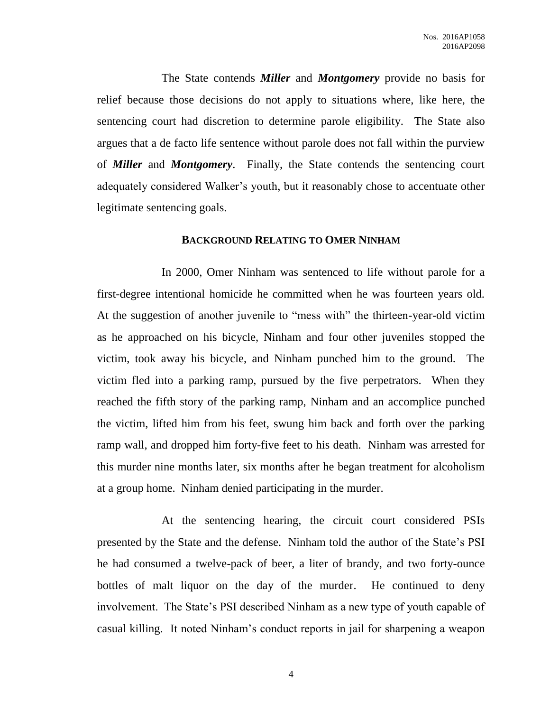The State contends *Miller* and *Montgomery* provide no basis for relief because those decisions do not apply to situations where, like here, the sentencing court had discretion to determine parole eligibility. The State also argues that a de facto life sentence without parole does not fall within the purview of *Miller* and *Montgomery*. Finally, the State contends the sentencing court adequately considered Walker's youth, but it reasonably chose to accentuate other legitimate sentencing goals.

#### **BACKGROUND RELATING TO OMER NINHAM**

In 2000, Omer Ninham was sentenced to life without parole for a first-degree intentional homicide he committed when he was fourteen years old. At the suggestion of another juvenile to "mess with" the thirteen-year-old victim as he approached on his bicycle, Ninham and four other juveniles stopped the victim, took away his bicycle, and Ninham punched him to the ground. The victim fled into a parking ramp, pursued by the five perpetrators. When they reached the fifth story of the parking ramp, Ninham and an accomplice punched the victim, lifted him from his feet, swung him back and forth over the parking ramp wall, and dropped him forty-five feet to his death. Ninham was arrested for this murder nine months later, six months after he began treatment for alcoholism at a group home. Ninham denied participating in the murder.

At the sentencing hearing, the circuit court considered PSIs presented by the State and the defense. Ninham told the author of the State's PSI he had consumed a twelve-pack of beer, a liter of brandy, and two forty-ounce bottles of malt liquor on the day of the murder. He continued to deny involvement. The State's PSI described Ninham as a new type of youth capable of casual killing. It noted Ninham's conduct reports in jail for sharpening a weapon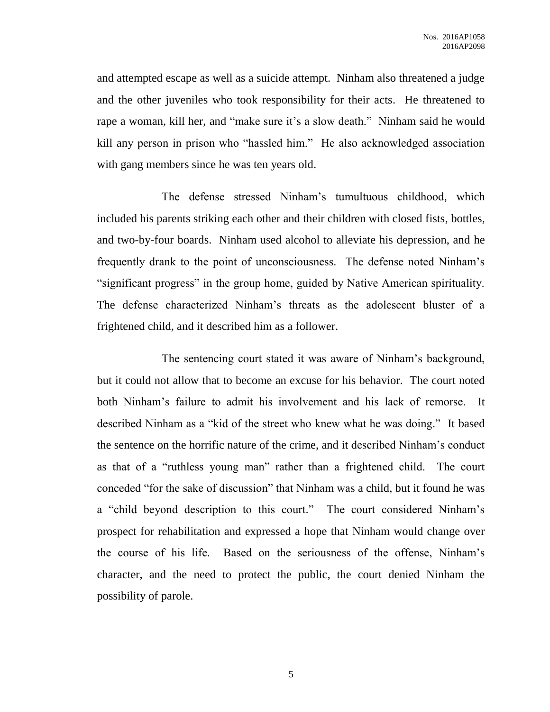and attempted escape as well as a suicide attempt. Ninham also threatened a judge and the other juveniles who took responsibility for their acts. He threatened to rape a woman, kill her, and "make sure it's a slow death." Ninham said he would kill any person in prison who "hassled him." He also acknowledged association with gang members since he was ten years old.

The defense stressed Ninham's tumultuous childhood, which included his parents striking each other and their children with closed fists, bottles, and two-by-four boards. Ninham used alcohol to alleviate his depression, and he frequently drank to the point of unconsciousness. The defense noted Ninham's "significant progress" in the group home, guided by Native American spirituality. The defense characterized Ninham's threats as the adolescent bluster of a frightened child, and it described him as a follower.

The sentencing court stated it was aware of Ninham's background, but it could not allow that to become an excuse for his behavior. The court noted both Ninham's failure to admit his involvement and his lack of remorse. It described Ninham as a "kid of the street who knew what he was doing." It based the sentence on the horrific nature of the crime, and it described Ninham's conduct as that of a "ruthless young man" rather than a frightened child. The court conceded "for the sake of discussion" that Ninham was a child, but it found he was a "child beyond description to this court." The court considered Ninham's prospect for rehabilitation and expressed a hope that Ninham would change over the course of his life. Based on the seriousness of the offense, Ninham's character, and the need to protect the public, the court denied Ninham the possibility of parole.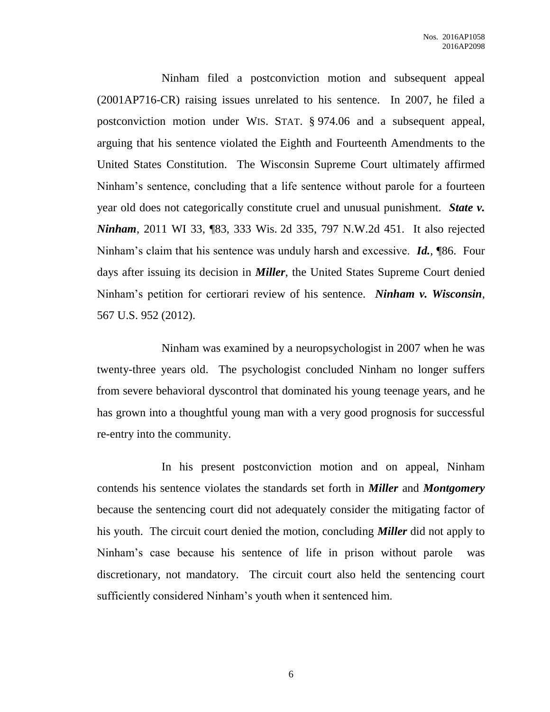Ninham filed a postconviction motion and subsequent appeal (2001AP716-CR) raising issues unrelated to his sentence. In 2007, he filed a postconviction motion under WIS. STAT. § 974.06 and a subsequent appeal, arguing that his sentence violated the Eighth and Fourteenth Amendments to the United States Constitution. The Wisconsin Supreme Court ultimately affirmed Ninham's sentence, concluding that a life sentence without parole for a fourteen year old does not categorically constitute cruel and unusual punishment. *State v. Ninham*, 2011 WI 33, 183, 333 Wis. 2d 335, 797 N.W.2d 451. It also rejected Ninham's claim that his sentence was unduly harsh and excessive. *Id.*, ¶86. Four days after issuing its decision in *Miller*, the United States Supreme Court denied Ninham's petition for certiorari review of his sentence. *Ninham v. Wisconsin*, 567 U.S. 952 (2012).

Ninham was examined by a neuropsychologist in 2007 when he was twenty-three years old. The psychologist concluded Ninham no longer suffers from severe behavioral dyscontrol that dominated his young teenage years, and he has grown into a thoughtful young man with a very good prognosis for successful re-entry into the community.

In his present postconviction motion and on appeal, Ninham contends his sentence violates the standards set forth in *Miller* and *Montgomery* because the sentencing court did not adequately consider the mitigating factor of his youth. The circuit court denied the motion, concluding *Miller* did not apply to Ninham's case because his sentence of life in prison without parole was discretionary, not mandatory. The circuit court also held the sentencing court sufficiently considered Ninham's youth when it sentenced him.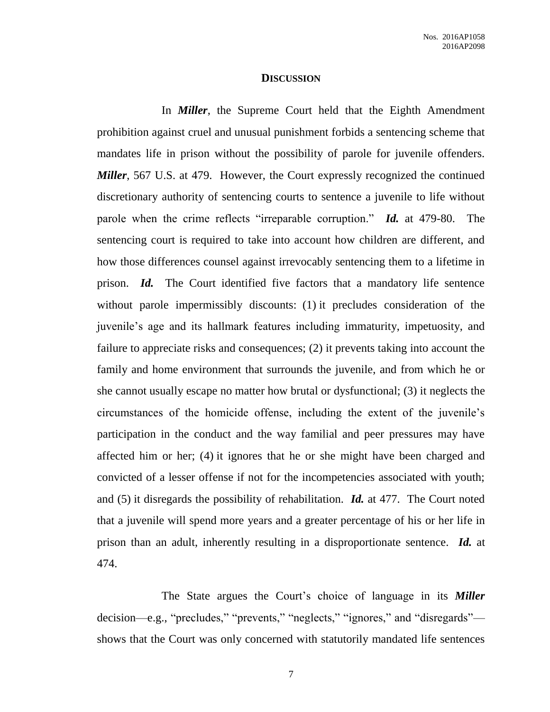#### **DISCUSSION**

In *Miller*, the Supreme Court held that the Eighth Amendment prohibition against cruel and unusual punishment forbids a sentencing scheme that mandates life in prison without the possibility of parole for juvenile offenders. *Miller*, 567 U.S. at 479. However, the Court expressly recognized the continued discretionary authority of sentencing courts to sentence a juvenile to life without parole when the crime reflects "irreparable corruption." *Id.* at 479-80. The sentencing court is required to take into account how children are different, and how those differences counsel against irrevocably sentencing them to a lifetime in prison. *Id.* The Court identified five factors that a mandatory life sentence without parole impermissibly discounts: (1) it precludes consideration of the juvenile's age and its hallmark features including immaturity, impetuosity, and failure to appreciate risks and consequences; (2) it prevents taking into account the family and home environment that surrounds the juvenile, and from which he or she cannot usually escape no matter how brutal or dysfunctional; (3) it neglects the circumstances of the homicide offense, including the extent of the juvenile's participation in the conduct and the way familial and peer pressures may have affected him or her; (4) it ignores that he or she might have been charged and convicted of a lesser offense if not for the incompetencies associated with youth; and (5) it disregards the possibility of rehabilitation. *Id.* at 477. The Court noted that a juvenile will spend more years and a greater percentage of his or her life in prison than an adult, inherently resulting in a disproportionate sentence. *Id.* at 474.

The State argues the Court's choice of language in its *Miller* decision—e.g., "precludes," "prevents," "neglects," "ignores," and "disregards" shows that the Court was only concerned with statutorily mandated life sentences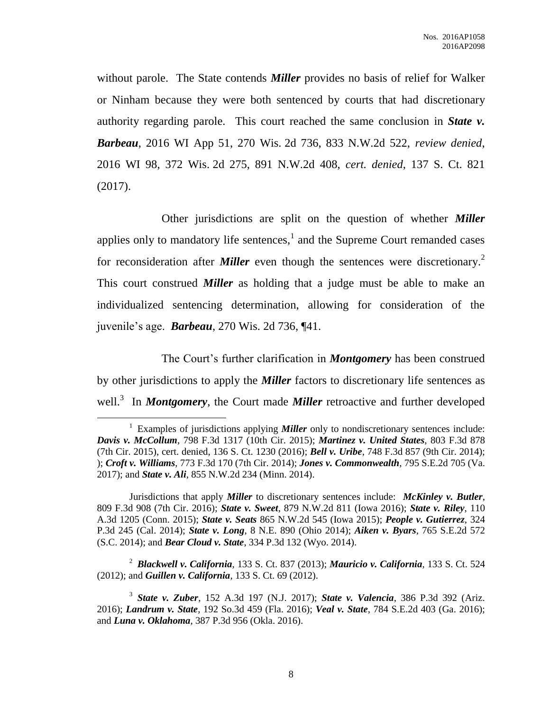without parole. The State contends *Miller* provides no basis of relief for Walker or Ninham because they were both sentenced by courts that had discretionary authority regarding parole. This court reached the same conclusion in *State v. Barbeau*, 2016 WI App 51, 270 Wis. 2d 736, 833 N.W.2d 522, *review denied*, 2016 WI 98, 372 Wis. 2d 275, 891 N.W.2d 408, *cert. denied*, 137 S. Ct. 821 (2017).

Other jurisdictions are split on the question of whether *Miller* applies only to mandatory life sentences, $<sup>1</sup>$  and the Supreme Court remanded cases</sup> for reconsideration after *Miller* even though the sentences were discretionary.<sup>2</sup> This court construed *Miller* as holding that a judge must be able to make an individualized sentencing determination, allowing for consideration of the juvenile's age. *Barbeau*, 270 Wis. 2d 736, ¶41.

The Court's further clarification in *Montgomery* has been construed by other jurisdictions to apply the *Miller* factors to discretionary life sentences as well.<sup>3</sup> In *Montgomery*, the Court made *Miller* retroactive and further developed

 $\overline{a}$ 

2 *Blackwell v. California*, 133 S. Ct. 837 (2013); *Mauricio v. California*, 133 S. Ct. 524 (2012); and *Guillen v. California*, 133 S. Ct. 69 (2012).

<sup>&</sup>lt;sup>1</sup> Examples of jurisdictions applying **Miller** only to nondiscretionary sentences include: *Davis v. McCollum*, 798 F.3d 1317 (10th Cir. 2015); *Martinez v. United States*, 803 F.3d 878 (7th Cir. 2015), cert. denied, 136 S. Ct. 1230 (2016); *Bell v. Uribe*, 748 F.3d 857 (9th Cir. 2014); ); *Croft v. Williams*, 773 F.3d 170 (7th Cir. 2014); *Jones v. Commonwealth*, 795 S.E.2d 705 (Va. 2017); and *State v. Ali*, 855 N.W.2d 234 (Minn. 2014).

Jurisdictions that apply *Miller* to discretionary sentences include: *McKinley v. Butler*, 809 F.3d 908 (7th Cir. 2016); *State v. Sweet*, 879 N.W.2d 811 (Iowa 2016); *State v. Riley*, 110 A.3d 1205 (Conn. 2015); *State v. Seats* 865 N.W.2d 545 (Iowa 2015); *People v. Gutierrez*, 324 P.3d 245 (Cal. 2014); *State v. Long*, 8 N.E. 890 (Ohio 2014); *Aiken v. Byars*, 765 S.E.2d 572 (S.C. 2014); and *Bear Cloud v. State*, 334 P.3d 132 (Wyo. 2014).

<sup>3</sup> *State v. Zuber*, 152 A.3d 197 (N.J. 2017); *State v. Valencia*, 386 P.3d 392 (Ariz. 2016); *Landrum v. State*, 192 So.3d 459 (Fla. 2016); *Veal v. State*, 784 S.E.2d 403 (Ga. 2016); and *Luna v. Oklahoma*, 387 P.3d 956 (Okla. 2016).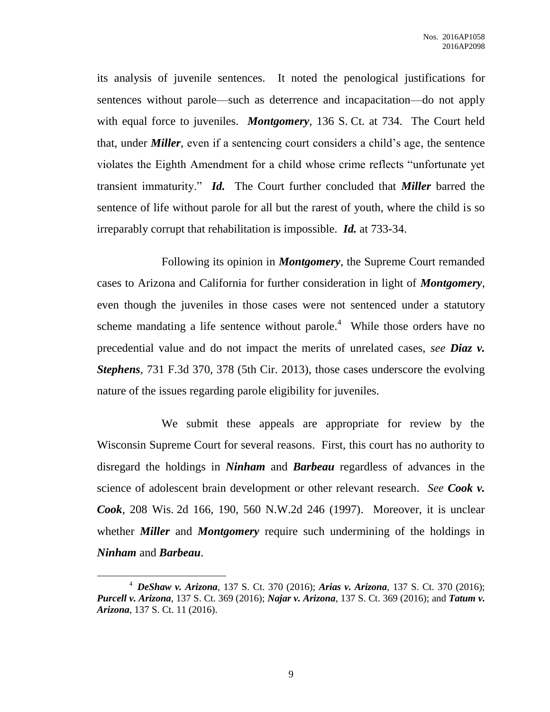its analysis of juvenile sentences. It noted the penological justifications for sentences without parole—such as deterrence and incapacitation—do not apply with equal force to juveniles. *Montgomery*, 136 S. Ct. at 734. The Court held that, under *Miller*, even if a sentencing court considers a child's age, the sentence violates the Eighth Amendment for a child whose crime reflects "unfortunate yet transient immaturity." *Id.* The Court further concluded that *Miller* barred the sentence of life without parole for all but the rarest of youth, where the child is so irreparably corrupt that rehabilitation is impossible. *Id.* at 733-34.

Following its opinion in *Montgomery*, the Supreme Court remanded cases to Arizona and California for further consideration in light of *Montgomery*, even though the juveniles in those cases were not sentenced under a statutory scheme mandating a life sentence without parole. $4$  While those orders have no precedential value and do not impact the merits of unrelated cases, *see Diaz v. Stephens*, 731 F.3d 370, 378 (5th Cir. 2013), those cases underscore the evolving nature of the issues regarding parole eligibility for juveniles.

We submit these appeals are appropriate for review by the Wisconsin Supreme Court for several reasons. First, this court has no authority to disregard the holdings in *Ninham* and *Barbeau* regardless of advances in the science of adolescent brain development or other relevant research. *See Cook v. Cook*, 208 Wis. 2d 166, 190, 560 N.W.2d 246 (1997). Moreover, it is unclear whether *Miller* and *Montgomery* require such undermining of the holdings in *Ninham* and *Barbeau*.

 $\overline{a}$ 

<sup>4</sup> *DeShaw v. Arizona*, 137 S. Ct. 370 (2016); *Arias v. Arizona*, 137 S. Ct. 370 (2016); *Purcell v. Arizona*, 137 S. Ct. 369 (2016); *Najar v. Arizona*, 137 S. Ct. 369 (2016); and *Tatum v. Arizona*, 137 S. Ct. 11 (2016).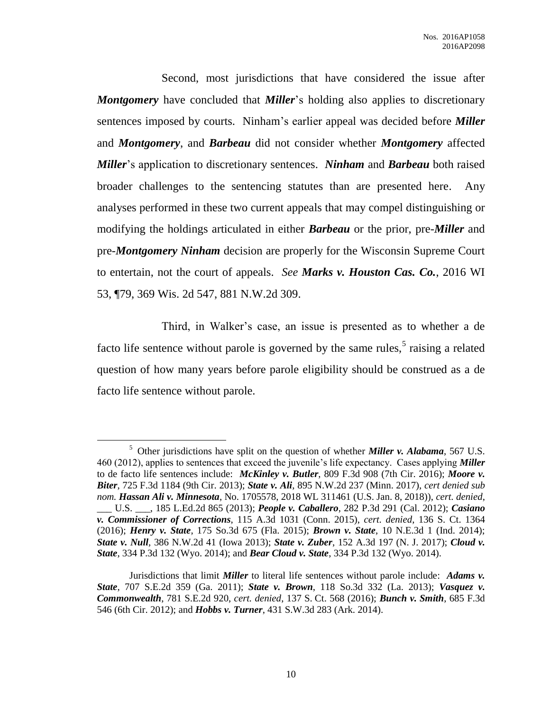Second, most jurisdictions that have considered the issue after *Montgomery* have concluded that *Miller*'s holding also applies to discretionary sentences imposed by courts. Ninham's earlier appeal was decided before *Miller* and *Montgomery*, and *Barbeau* did not consider whether *Montgomery* affected *Miller*'s application to discretionary sentences. *Ninham* and *Barbeau* both raised broader challenges to the sentencing statutes than are presented here. Any analyses performed in these two current appeals that may compel distinguishing or modifying the holdings articulated in either *Barbeau* or the prior, pre-*Miller* and pre-*Montgomery Ninham* decision are properly for the Wisconsin Supreme Court to entertain, not the court of appeals. *See Marks v. Houston Cas. Co.*, 2016 WI 53, ¶79, 369 Wis. 2d 547, 881 N.W.2d 309.

Third, in Walker's case, an issue is presented as to whether a de facto life sentence without parole is governed by the same rules,<sup>5</sup> raising a related question of how many years before parole eligibility should be construed as a de facto life sentence without parole.

 $\overline{a}$ 

<sup>5</sup> Other jurisdictions have split on the question of whether *Miller v. Alabama*, 567 U.S. 460 (2012), applies to sentences that exceed the juvenile's life expectancy. Cases applying *Miller* to de facto life sentences include: *McKinley v. Butler*, 809 F.3d 908 (7th Cir. 2016); *Moore v. Biter*, 725 F.3d 1184 (9th Cir. 2013); *State v. Ali*, 895 N.W.2d 237 (Minn. 2017), *cert denied sub nom. Hassan Ali v. Minnesota*, No. 1705578, 2018 WL 311461 (U.S. Jan. 8, 2018)), *cert. denied*, \_\_\_ U.S. \_\_\_, 185 L.Ed.2d 865 (2013); *People v. Caballero*, 282 P.3d 291 (Cal. 2012); *Casiano v. Commissioner of Corrections*, 115 A.3d 1031 (Conn. 2015), *cert. denied*, 136 S. Ct. 1364 (2016); *Henry v. State*, 175 So.3d 675 (Fla. 2015); *Brown v. State*, 10 N.E.3d 1 (Ind. 2014); *State v. Null*, 386 N.W.2d 41 (Iowa 2013); *State v. Zuber*, 152 A.3d 197 (N. J. 2017); *Cloud v. State*, 334 P.3d 132 (Wyo. 2014); and *Bear Cloud v. State*, 334 P.3d 132 (Wyo. 2014).

Jurisdictions that limit *Miller* to literal life sentences without parole include: *Adams v. State*, 707 S.E.2d 359 (Ga. 2011); *State v. Brown*, 118 So.3d 332 (La. 2013); *Vasquez v. Commonwealth*, 781 S.E.2d 920, *cert. denied*, 137 S. Ct. 568 (2016); *Bunch v. Smith*, 685 F.3d 546 (6th Cir. 2012); and *Hobbs v. Turner*, 431 S.W.3d 283 (Ark. 2014).